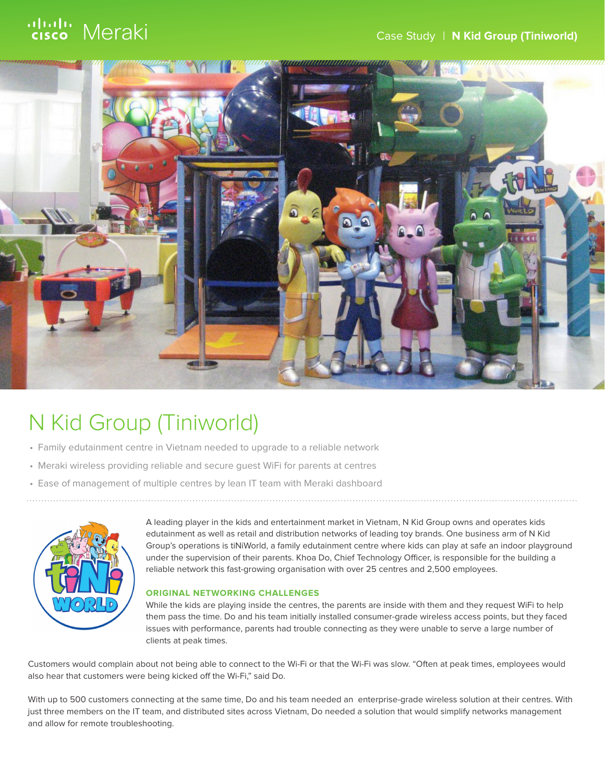# ululu Meraki



## N Kid Group (Tiniworld)

- Family edutainment centre in Vietnam needed to upgrade to a reliable network
- Meraki wireless providing reliable and secure guest WiFi for parents at centres
- Ease of management of multiple centres by lean IT team with Meraki dashboard



A leading player in the kids and entertainment market in Vietnam, N Kid Group owns and operates kids edutainment as well as retail and distribution networks of leading toy brands. One business arm of N Kid Group's operations is tiNiWorld, a family edutainment centre where kids can play at safe an indoor playground under the supervision of their parents. Khoa Do, Chief Technology Officer, is responsible for the building a reliable network this fast-growing organisation with over 25 centres and 2,500 employees.

#### **ORIGINAL NETWORKING CHALLENGES**

While the kids are playing inside the centres, the parents are inside with them and they request WiFi to help them pass the time. Do and his team initially installed consumer-grade wireless access points, but they faced issues with performance, parents had trouble connecting as they were unable to serve a large number of clients at peak times.

Customers would complain about not being able to connect to the Wi-Fi or that the Wi-Fi was slow. "Often at peak times, employees would also hear that customers were being kicked off the Wi-Fi," said Do.

With up to 500 customers connecting at the same time, Do and his team needed an enterprise-grade wireless solution at their centres. With just three members on the IT team, and distributed sites across Vietnam, Do needed a solution that would simplify networks management and allow for remote troubleshooting.